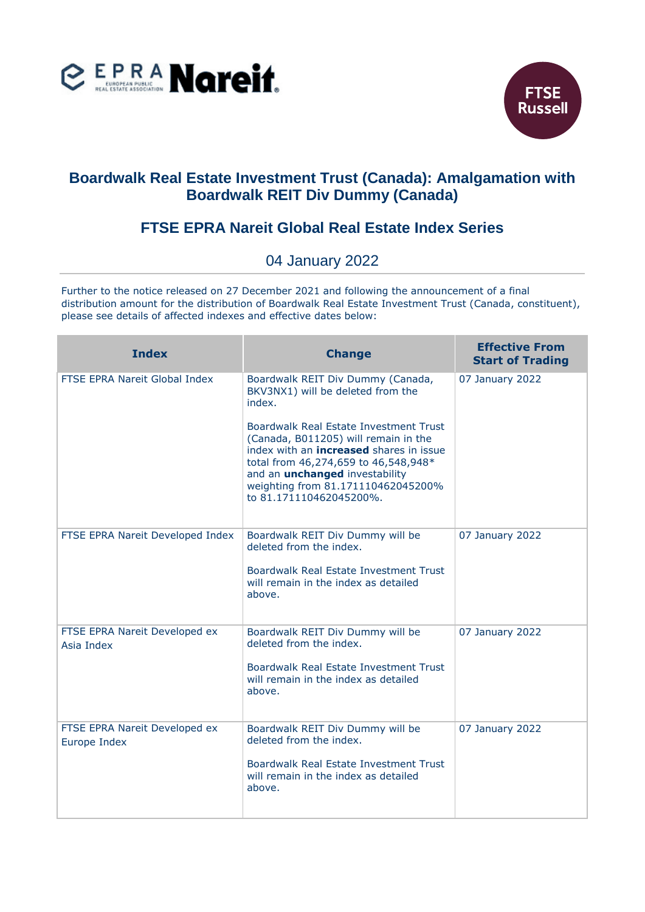



## **Boardwalk Real Estate Investment Trust (Canada): Amalgamation with Boardwalk REIT Div Dummy (Canada)**

## **FTSE EPRA Nareit Global Real Estate Index Series**

## 04 January 2022

Further to the notice released on 27 December 2021 and following the announcement of a final distribution amount for the distribution of Boardwalk Real Estate Investment Trust (Canada, constituent), please see details of affected indexes and effective dates below:

| <b>Index</b>                                  | <b>Change</b>                                                                                                                                                                                                                                                                      | <b>Effective From</b><br><b>Start of Trading</b> |
|-----------------------------------------------|------------------------------------------------------------------------------------------------------------------------------------------------------------------------------------------------------------------------------------------------------------------------------------|--------------------------------------------------|
| FTSE EPRA Nareit Global Index                 | Boardwalk REIT Div Dummy (Canada,<br>BKV3NX1) will be deleted from the<br>index.                                                                                                                                                                                                   | 07 January 2022                                  |
|                                               | Boardwalk Real Estate Investment Trust<br>(Canada, B011205) will remain in the<br>index with an <b>increased</b> shares in issue<br>total from 46,274,659 to 46,548,948*<br>and an <i>unchanged</i> investability<br>weighting from 81.171110462045200%<br>to 81.171110462045200%. |                                                  |
| FTSE EPRA Nareit Developed Index              | Boardwalk REIT Div Dummy will be<br>deleted from the index.<br>Boardwalk Real Estate Investment Trust<br>will remain in the index as detailed<br>above.                                                                                                                            | 07 January 2022                                  |
| FTSE EPRA Nareit Developed ex<br>Asia Index   | Boardwalk REIT Div Dummy will be<br>deleted from the index.<br>Boardwalk Real Estate Investment Trust<br>will remain in the index as detailed<br>above.                                                                                                                            | 07 January 2022                                  |
| FTSE EPRA Nareit Developed ex<br>Europe Index | Boardwalk REIT Div Dummy will be<br>deleted from the index.<br>Boardwalk Real Estate Investment Trust<br>will remain in the index as detailed<br>above.                                                                                                                            | 07 January 2022                                  |